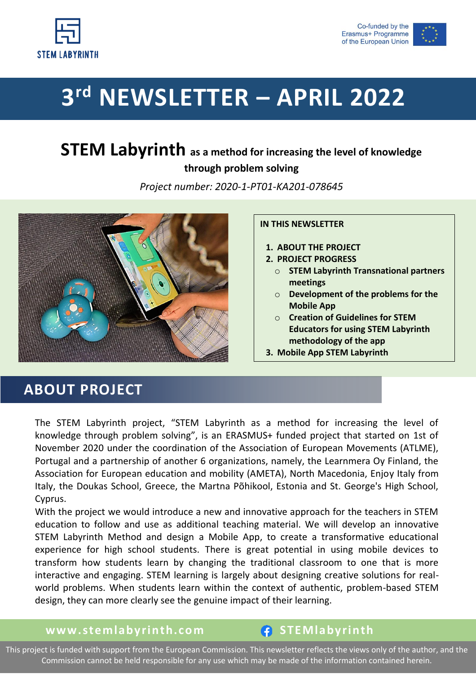



# **3 rd NEWSLETTER – APRIL 2022**

# **STEM Labyrinth as a method for increasing the level of knowledge through problem solving**

*Project number: 2020-1-PT01-KA201-078645*



### **IN THIS NEWSLETTER**

- **1. ABOUT THE PROJECT**
- **2. PROJECT PROGRESS**
	- o **STEM Labyrinth Transnational partners meetings**
	- o **Development of the problems for the Mobile App**
	- o **Creation of Guidelines for STEM Educators for using STEM Labyrinth methodology of the app**
- **3. Mobile App STEM Labyrinth**

# **ABOUT PROJECT**

The STEM Labyrinth project, "STEM Labyrinth as a method for increasing the level of knowledge through problem solving", is an ERASMUS+ funded project that started on 1st of November 2020 under the coordination of the Association of European Movements (ATLME), Portugal and a partnership of another 6 organizations, namely, the Learnmera Oy Finland, the Association for European education and mobility (AMETA), North Macedonia, Enjoy Italy from Italy, the Doukas School, Greece, the Martna Põhikool, Estonia and St. George's High School, Cyprus.

With the project we would introduce a new and innovative approach for the teachers in STEM education to follow and use as additional teaching material. We will develop an innovative STEM Labyrinth Method and design a Mobile App, to create a transformative educational experience for high school students. There is great potential in using mobile devices to transform how students learn by changing the traditional classroom to one that is more interactive and engaging. STEM learning is largely about designing creative solutions for realworld problems. When students learn within the context of authentic, problem-based STEM design, they can more clearly see the genuine impact of their learning.

**www.stemlabyrinth.com f** STEMlabyrinth

This project is funded with support from the European Commission. This newsletter reflects the views only of the author, and the Commission cannot be held responsible for any use which may be made of the information contained herein.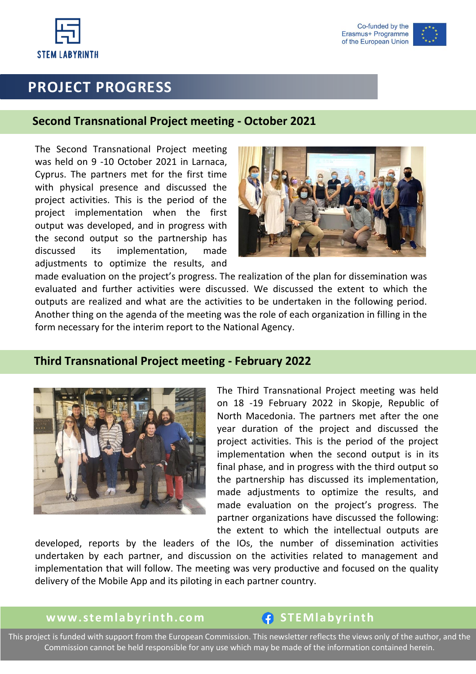

Co-funded by the Erasmus+ Programme of the European Union

# **PROJECT PROGRESS**

### **Second Transnational Project meeting - October 2021**

The Second Transnational Project meeting was held on 9 -10 October 2021 in Larnaca, Cyprus. The partners met for the first time with physical presence and discussed the project activities. This is the period of the project implementation when the first output was developed, and in progress with the second output so the partnership has discussed its implementation, made adjustments to optimize the results, and



made evaluation on the project's progress. The realization of the plan for dissemination was evaluated and further activities were discussed. We discussed the extent to which the outputs are realized and what are the activities to be undertaken in the following period. Another thing on the agenda of the meeting was the role of each organization in filling in the form necessary for the interim report to the National Agency.

### **Third Transnational Project meeting - February 2022**



The Third Transnational Project meeting was held on 18 -19 February 2022 in Skopje, Republic of North Macedonia. The partners met after the one year duration of the project and discussed the project activities. This is the period of the project implementation when the second output is in its final phase, and in progress with the third output so the partnership has discussed its implementation, made adjustments to optimize the results, and made evaluation on the project's progress. The partner organizations have discussed the following: the extent to which the intellectual outputs are

developed, reports by the leaders of the IOs, the number of dissemination activities undertaken by each partner, and discussion on the activities related to management and implementation that will follow. The meeting was very productive and focused on the quality delivery of the Mobile App and its piloting in each partner country.

## **www.stemlabyrinth.com f** STEMlabyrinth

This project is funded with support from the European Commission. This newsletter reflects the views only of the author, and the Commission cannot be held responsible for any use which may be made of the information contained herein.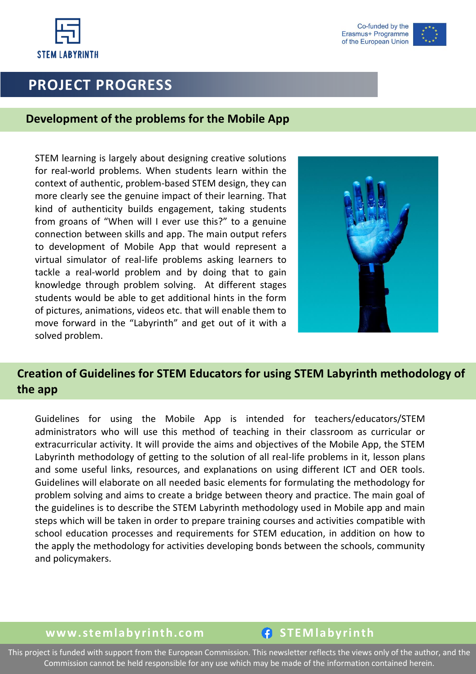



# **PROJECT PROGRESS**

### **Development of the problems for the Mobile App**

STEM learning is largely about designing creative solutions for real-world problems. When students learn within the context of authentic, problem-based STEM design, they can more clearly see the genuine impact of their learning. That kind of authenticity builds engagement, taking students from groans of "When will I ever use this?" to a genuine connection between skills and app. The main output refers to development of Mobile App that would represent a virtual simulator of real-life problems asking learners to tackle a real-world problem and by doing that to gain knowledge through problem solving. At different stages students would be able to get additional hints in the form of pictures, animations, videos etc. that will enable them to move forward in the "Labyrinth" and get out of it with a solved problem.



## **Creation of Guidelines for STEM Educators for using STEM Labyrinth methodology of the app**

Guidelines for using the Mobile App is intended for teachers/educators/STEM administrators who will use this method of teaching in their classroom as curricular or extracurricular activity. It will provide the aims and objectives of the Mobile App, the STEM Labyrinth methodology of getting to the solution of all real-life problems in it, lesson plans and some useful links, resources, and explanations on using different ICT and OER tools. Guidelines will elaborate on all needed basic elements for formulating the methodology for problem solving and aims to create a bridge between theory and practice. The main goal of the guidelines is to describe the STEM Labyrinth methodology used in Mobile app and main steps which will be taken in order to prepare training courses and activities compatible with school education processes and requirements for STEM education, in addition on how to the apply the methodology for activities developing bonds between the schools, community and policymakers.

### **www.stemlabyrinth.com f** STEMlabyrinth

This project is funded with support from the European Commission. This newsletter reflects the views only of the author, and the Commission cannot be held responsible for any use which may be made of the information contained herein.